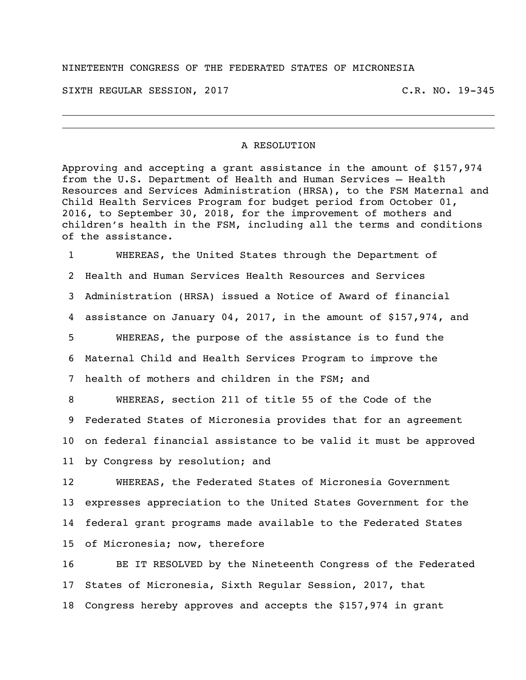## NINETEENTH CONGRESS OF THE FEDERATED STATES OF MICRONESIA

SIXTH REGULAR SESSION, 2017 THE REGULAR SESSION, 2017

## A RESOLUTION

Approving and accepting a grant assistance in the amount of \$157,974 from the U.S. Department of Health and Human Services – Health Resources and Services Administration (HRSA), to the FSM Maternal and Child Health Services Program for budget period from October 01, 2016, to September 30, 2018, for the improvement of mothers and children's health in the FSM, including all the terms and conditions of the assistance.

 WHEREAS, the United States through the Department of Health and Human Services Health Resources and Services Administration (HRSA) issued a Notice of Award of financial assistance on January 04, 2017, in the amount of \$157,974, and WHEREAS, the purpose of the assistance is to fund the Maternal Child and Health Services Program to improve the health of mothers and children in the FSM; and WHEREAS, section 211 of title 55 of the Code of the Federated States of Micronesia provides that for an agreement on federal financial assistance to be valid it must be approved

by Congress by resolution; and

 WHEREAS, the Federated States of Micronesia Government expresses appreciation to the United States Government for the federal grant programs made available to the Federated States of Micronesia; now, therefore

 BE IT RESOLVED by the Nineteenth Congress of the Federated States of Micronesia, Sixth Regular Session, 2017, that Congress hereby approves and accepts the \$157,974 in grant